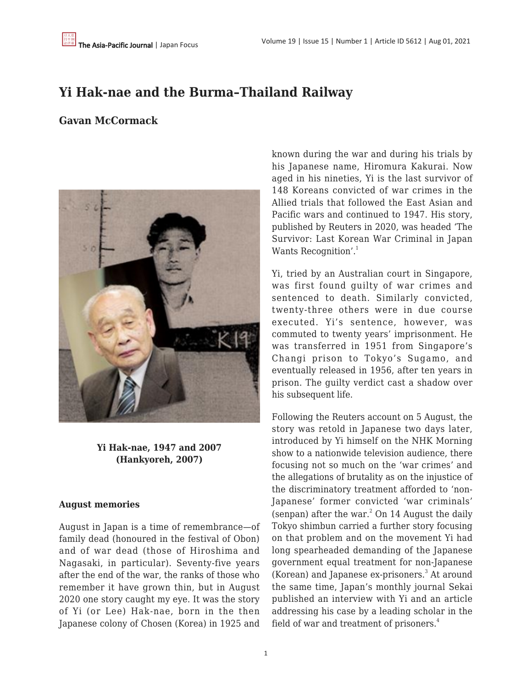# **Yi Hak-nae and the Burma–Thailand Railway**

# **Gavan McCormack**



**Yi Hak-nae, 1947 and 2007 (Hankyoreh, 2007)**

#### **August memories**

August in Japan is a time of remembrance—of family dead (honoured in the festival of Obon) and of war dead (those of Hiroshima and Nagasaki, in particular). Seventy-five years after the end of the war, the ranks of those who remember it have grown thin, but in August 2020 one story caught my eye. It was the story of Yi (or Lee) Hak-nae, born in the then Japanese colony of Chosen (Korea) in 1925 and known during the war and during his trials by his Japanese name, Hiromura Kakurai. Now aged in his nineties, Yi is the last survivor of 148 Koreans convicted of war crimes in the Allied trials that followed the East Asian and Pacific wars and continued to 1947. His story, published by Reuters in 2020, was headed 'The Survivor: Last Korean War Criminal in Japan Wants Recognition'.<sup>1</sup>

Yi, tried by an Australian court in Singapore, was first found guilty of war crimes and sentenced to death. Similarly convicted, twenty-three others were in due course executed. Yi's sentence, however, was commuted to twenty years' imprisonment. He was transferred in 1951 from Singapore's Changi prison to Tokyo's Sugamo, and eventually released in 1956, after ten years in prison. The guilty verdict cast a shadow over his subsequent life.

Following the Reuters account on 5 August, the story was retold in Japanese two days later, introduced by Yi himself on the NHK Morning show to a nationwide television audience, there focusing not so much on the 'war crimes' and the allegations of brutality as on the injustice of the discriminatory treatment afforded to 'non-Japanese' former convicted 'war criminals' (senpan) after the war. $^{2}$  On 14 August the daily Tokyo shimbun carried a further story focusing on that problem and on the movement Yi had long spearheaded demanding of the Japanese government equal treatment for non-Japanese (Korean) and Japanese ex-prisoners.<sup>3</sup> At around the same time, Japan's monthly journal Sekai published an interview with Yi and an article addressing his case by a leading scholar in the field of war and treatment of prisoners. $4$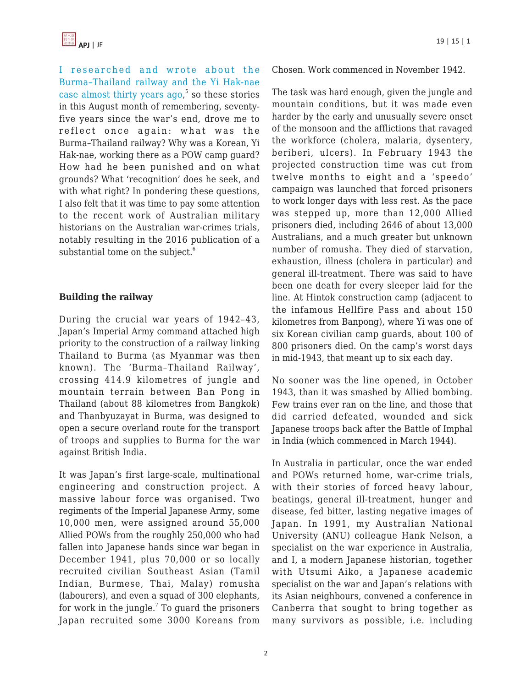[I researched and wrote about the](https://www.amazon.com/Burma-Thailand-Railway-Memory-History/dp/1863734236/?tag=theasipacjo0b-20) [Burma–Thailand railway and the Yi Hak-nae](https://www.amazon.com/Burma-Thailand-Railway-Memory-History/dp/1863734236/?tag=theasipacjo0b-20) case almost thirty years  $ago<sup>5</sup>$  so these stories in this August month of remembering, seventyfive years since the war's end, drove me to reflect once again: what was the Burma–Thailand railway? Why was a Korean, Yi Hak-nae, working there as a POW camp guard? How had he been punished and on what grounds? What 'recognition' does he seek, and with what right? In pondering these questions, I also felt that it was time to pay some attention to the recent work of Australian military historians on the Australian war-crimes trials, notably resulting in the 2016 publication of a substantial tome on the subject.<sup>6</sup>

# **Building the railway**

During the crucial war years of 1942–43, Japan's Imperial Army command attached high priority to the construction of a railway linking Thailand to Burma (as Myanmar was then known). The 'Burma–Thailand Railway', crossing 414.9 kilometres of jungle and mountain terrain between Ban Pong in Thailand (about 88 kilometres from Bangkok) and Thanbyuzayat in Burma, was designed to open a secure overland route for the transport of troops and supplies to Burma for the war against British India.

It was Japan's first large-scale, multinational engineering and construction project. A massive labour force was organised. Two regiments of the Imperial Japanese Army, some 10,000 men, were assigned around 55,000 Allied POWs from the roughly 250,000 who had fallen into Japanese hands since war began in December 1941, plus 70,000 or so locally recruited civilian Southeast Asian (Tamil Indian, Burmese, Thai, Malay) romusha (labourers), and even a squad of 300 elephants, for work in the jungle. $^7$  To guard the prisoners Japan recruited some 3000 Koreans from Chosen. Work commenced in November 1942.

The task was hard enough, given the jungle and mountain conditions, but it was made even harder by the early and unusually severe onset of the monsoon and the afflictions that ravaged the workforce (cholera, malaria, dysentery, beriberi, ulcers). In February 1943 the projected construction time was cut from twelve months to eight and a 'speedo' campaign was launched that forced prisoners to work longer days with less rest. As the pace was stepped up, more than 12,000 Allied prisoners died, including 2646 of about 13,000 Australians, and a much greater but unknown number of romusha. They died of starvation, exhaustion, illness (cholera in particular) and general ill-treatment. There was said to have been one death for every sleeper laid for the line. At Hintok construction camp (adjacent to the infamous Hellfire Pass and about 150 kilometres from Banpong), where Yi was one of six Korean civilian camp guards, about 100 of 800 prisoners died. On the camp's worst days in mid-1943, that meant up to six each day.

No sooner was the line opened, in October 1943, than it was smashed by Allied bombing. Few trains ever ran on the line, and those that did carried defeated, wounded and sick Japanese troops back after the Battle of Imphal in India (which commenced in March 1944).

In Australia in particular, once the war ended and POWs returned home, war-crime trials, with their stories of forced heavy labour, beatings, general ill-treatment, hunger and disease, fed bitter, lasting negative images of Japan. In 1991, my Australian National University (ANU) colleague Hank Nelson, a specialist on the war experience in Australia, and I, a modern Japanese historian, together with Utsumi Aiko, a Japanese academic specialist on the war and Japan's relations with its Asian neighbours, convened a conference in Canberra that sought to bring together as many survivors as possible, i.e. including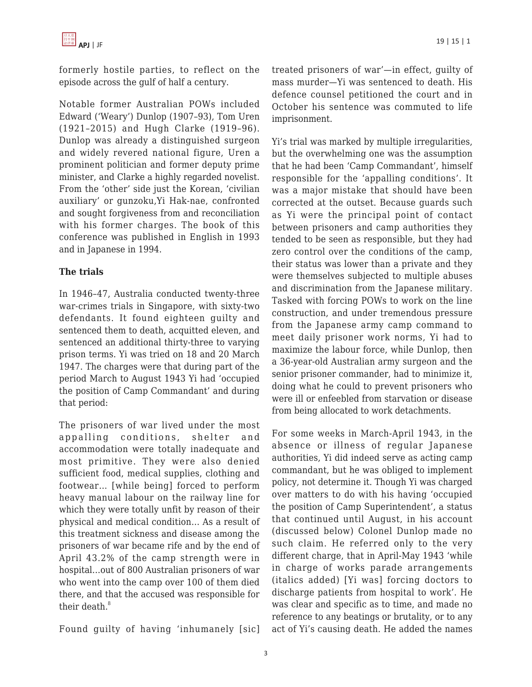formerly hostile parties, to reflect on the episode across the gulf of half a century.

Notable former Australian POWs included Edward ('Weary') Dunlop (1907–93), Tom Uren (1921–2015) and Hugh Clarke (1919–96). Dunlop was already a distinguished surgeon and widely revered national figure, Uren a prominent politician and former deputy prime minister, and Clarke a highly regarded novelist. From the 'other' side just the Korean, 'civilian auxiliary' or gunzoku,Yi Hak-nae, confronted and sought forgiveness from and reconciliation with his former charges. The book of this conference was published in English in 1993 and in Japanese in 1994.

# **The trials**

In 1946–47, Australia conducted twenty-three war-crimes trials in Singapore, with sixty-two defendants. It found eighteen guilty and sentenced them to death, acquitted eleven, and sentenced an additional thirty-three to varying prison terms. Yi was tried on 18 and 20 March 1947. The charges were that during part of the period March to August 1943 Yi had 'occupied the position of Camp Commandant' and during that period:

The prisoners of war lived under the most appalling conditions, shelter and accommodation were totally inadequate and most primitive. They were also denied sufficient food, medical supplies, clothing and footwear… [while being] forced to perform heavy manual labour on the railway line for which they were totally unfit by reason of their physical and medical condition… As a result of this treatment sickness and disease among the prisoners of war became rife and by the end of April 43.2% of the camp strength were in hospital…out of 800 Australian prisoners of war who went into the camp over 100 of them died there, and that the accused was responsible for their death.<sup>8</sup>

Found guilty of having 'inhumanely [sic]

treated prisoners of war'—in effect, guilty of mass murder—Yi was sentenced to death. His defence counsel petitioned the court and in October his sentence was commuted to life imprisonment.

Yi's trial was marked by multiple irregularities, but the overwhelming one was the assumption that he had been 'Camp Commandant', himself responsible for the 'appalling conditions'. It was a major mistake that should have been corrected at the outset. Because guards such as Yi were the principal point of contact between prisoners and camp authorities they tended to be seen as responsible, but they had zero control over the conditions of the camp, their status was lower than a private and they were themselves subjected to multiple abuses and discrimination from the Japanese military. Tasked with forcing POWs to work on the line construction, and under tremendous pressure from the Japanese army camp command to meet daily prisoner work norms, Yi had to maximize the labour force, while Dunlop, then a 36-year-old Australian army surgeon and the senior prisoner commander, had to minimize it, doing what he could to prevent prisoners who were ill or enfeebled from starvation or disease from being allocated to work detachments.

For some weeks in March-April 1943, in the absence or illness of regular Japanese authorities, Yi did indeed serve as acting camp commandant, but he was obliged to implement policy, not determine it. Though Yi was charged over matters to do with his having 'occupied the position of Camp Superintendent', a status that continued until August, in his account (discussed below) Colonel Dunlop made no such claim. He referred only to the very different charge, that in April-May 1943 'while in charge of works parade arrangements (italics added) [Yi was] forcing doctors to discharge patients from hospital to work'. He was clear and specific as to time, and made no reference to any beatings or brutality, or to any act of Yi's causing death. He added the names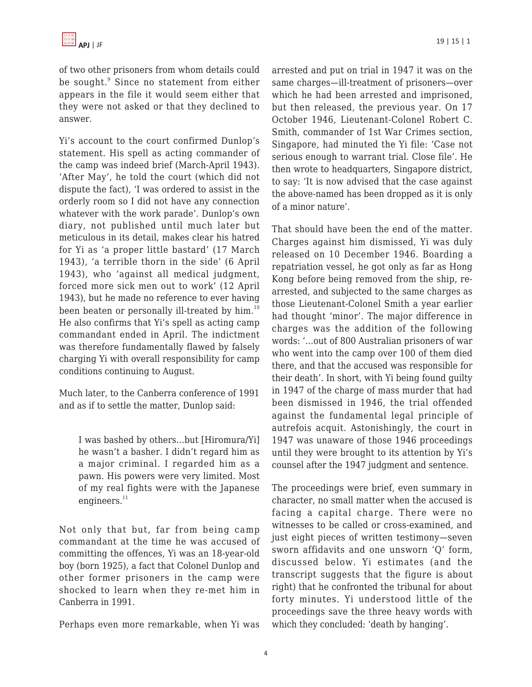of two other prisoners from whom details could be sought.<sup>9</sup> Since no statement from either appears in the file it would seem either that they were not asked or that they declined to answer.

Yi's account to the court confirmed Dunlop's statement. His spell as acting commander of the camp was indeed brief (March-April 1943). 'After May', he told the court (which did not dispute the fact), 'I was ordered to assist in the orderly room so I did not have any connection whatever with the work parade'. Dunlop's own diary, not published until much later but meticulous in its detail, makes clear his hatred for Yi as 'a proper little bastard' (17 March 1943), 'a terrible thorn in the side' (6 April 1943), who 'against all medical judgment, forced more sick men out to work' (12 April 1943), but he made no reference to ever having been beaten or personally ill-treated by him.<sup>10</sup> He also confirms that Yi's spell as acting camp commandant ended in April. The indictment was therefore fundamentally flawed by falsely charging Yi with overall responsibility for camp conditions continuing to August.

Much later, to the Canberra conference of 1991 and as if to settle the matter, Dunlop said:

I was bashed by others…but [Hiromura/Yi] he wasn't a basher. I didn't regard him as a major criminal. I regarded him as a pawn. His powers were very limited. Most of my real fights were with the Japanese engineers.<sup>11</sup>

Not only that but, far from being camp commandant at the time he was accused of committing the offences, Yi was an 18-year-old boy (born 1925), a fact that Colonel Dunlop and other former prisoners in the camp were shocked to learn when they re-met him in Canberra in 1991.

Perhaps even more remarkable, when Yi was

arrested and put on trial in 1947 it was on the same charges—ill-treatment of prisoners—over which he had been arrested and imprisoned, but then released, the previous year. On 17 October 1946, Lieutenant-Colonel Robert C. Smith, commander of 1st War Crimes section, Singapore, had minuted the Yi file: 'Case not serious enough to warrant trial. Close file'. He then wrote to headquarters, Singapore district, to say: 'It is now advised that the case against the above-named has been dropped as it is only of a minor nature'.

That should have been the end of the matter. Charges against him dismissed, Yi was duly released on 10 December 1946. Boarding a repatriation vessel, he got only as far as Hong Kong before being removed from the ship, rearrested, and subjected to the same charges as those Lieutenant-Colonel Smith a year earlier had thought 'minor'. The major difference in charges was the addition of the following words: '…out of 800 Australian prisoners of war who went into the camp over 100 of them died there, and that the accused was responsible for their death'. In short, with Yi being found guilty in 1947 of the charge of mass murder that had been dismissed in 1946, the trial offended against the fundamental legal principle of autrefois acquit. Astonishingly, the court in 1947 was unaware of those 1946 proceedings until they were brought to its attention by Yi's counsel after the 1947 judgment and sentence.

The proceedings were brief, even summary in character, no small matter when the accused is facing a capital charge. There were no witnesses to be called or cross-examined, and just eight pieces of written testimony—seven sworn affidavits and one unsworn 'Q' form, discussed below. Yi estimates (and the transcript suggests that the figure is about right) that he confronted the tribunal for about forty minutes. Yi understood little of the proceedings save the three heavy words with which they concluded: 'death by hanging'.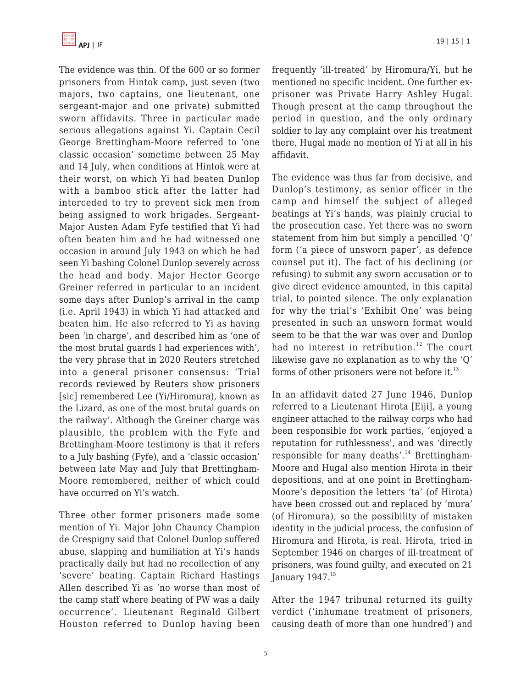The evidence was thin. Of the 600 or so former prisoners from Hintok camp, just seven (two majors, two captains, one lieutenant, one sergeant-major and one private) submitted sworn affidavits. Three in particular made serious allegations against Yi. Captain Cecil George Brettingham-Moore referred to 'one classic occasion' sometime between 25 May and 14 July, when conditions at Hintok were at their worst, on which Yi had beaten Dunlop with a bamboo stick after the latter had interceded to try to prevent sick men from being assigned to work brigades. Sergeant-Major Austen Adam Fyfe testified that Yi had often beaten him and he had witnessed one occasion in around July 1943 on which he had seen Yi bashing Colonel Dunlop severely across the head and body. Major Hector George Greiner referred in particular to an incident some days after Dunlop's arrival in the camp (i.e. April 1943) in which Yi had attacked and beaten him. He also referred to Yi as having been 'in charge', and described him as 'one of the most brutal guards I had experiences with', the very phrase that in 2020 Reuters stretched into a general prisoner consensus: 'Trial records reviewed by Reuters show prisoners [sic] remembered Lee (Yi/Hiromura), known as the Lizard, as one of the most brutal guards on the railway'. Although the Greiner charge was plausible, the problem with the Fyfe and Brettingham-Moore testimony is that it refers to a July bashing (Fyfe), and a 'classic occasion' between late May and July that Brettingham-Moore remembered, neither of which could have occurred on Yi's watch.

Three other former prisoners made some mention of Yi. Major John Chauncy Champion de Crespigny said that Colonel Dunlop suffered abuse, slapping and humiliation at Yi's hands practically daily but had no recollection of any 'severe' beating. Captain Richard Hastings Allen described Yi as 'no worse than most of the camp staff where beating of PW was a daily occurrence'. Lieutenant Reginald Gilbert Houston referred to Dunlop having been frequently 'ill-treated' by Hiromura/Yi, but he mentioned no specific incident. One further exprisoner was Private Harry Ashley Hugal. Though present at the camp throughout the period in question, and the only ordinary soldier to lay any complaint over his treatment there, Hugal made no mention of Yi at all in his affidavit.

The evidence was thus far from decisive, and Dunlop's testimony, as senior officer in the camp and himself the subject of alleged beatings at Yi's hands, was plainly crucial to the prosecution case. Yet there was no sworn statement from him but simply a pencilled 'Q' form ('a piece of unsworn paper', as defence counsel put it). The fact of his declining (or refusing) to submit any sworn accusation or to give direct evidence amounted, in this capital trial, to pointed silence. The only explanation for why the trial's 'Exhibit One' was being presented in such an unsworn format would seem to be that the war was over and Dunlop had no interest in retribution.<sup>12</sup> The court likewise gave no explanation as to why the 'Q' forms of other prisoners were not before it. $^{13}$ 

In an affidavit dated 27 June 1946, Dunlop referred to a Lieutenant Hirota [Eiji], a young engineer attached to the railway corps who had been responsible for work parties, 'enjoyed a reputation for ruthlessness', and was 'directly responsible for many deaths'.<sup>14</sup> Brettingham-Moore and Hugal also mention Hirota in their depositions, and at one point in Brettingham-Moore's deposition the letters 'ta' (of Hirota) have been crossed out and replaced by 'mura' (of Hiromura), so the possibility of mistaken identity in the judicial process, the confusion of Hiromura and Hirota, is real. Hirota, tried in September 1946 on charges of ill-treatment of prisoners, was found guilty, and executed on 21 January  $1947.<sup>15</sup>$ 

After the 1947 tribunal returned its guilty verdict ('inhumane treatment of prisoners, causing death of more than one hundred') and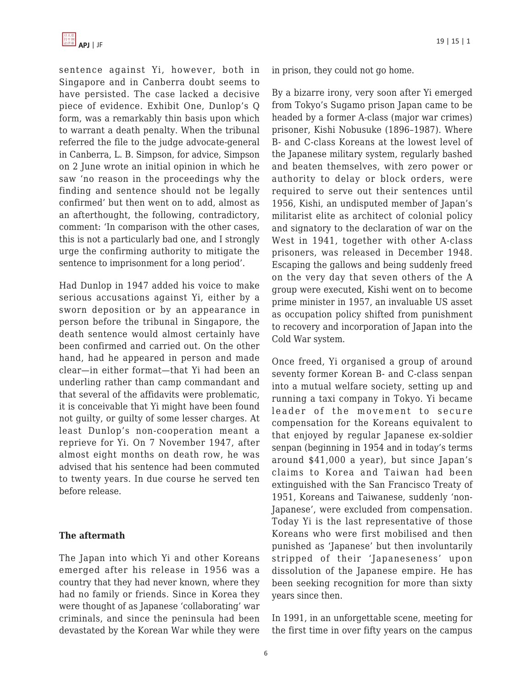sentence against Yi, however, both in Singapore and in Canberra doubt seems to have persisted. The case lacked a decisive piece of evidence. Exhibit One, Dunlop's Q form, was a remarkably thin basis upon which to warrant a death penalty. When the tribunal referred the file to the judge advocate-general in Canberra, L. B. Simpson, for advice, Simpson on 2 June wrote an initial opinion in which he saw 'no reason in the proceedings why the finding and sentence should not be legally confirmed' but then went on to add, almost as an afterthought, the following, contradictory, comment: 'In comparison with the other cases, this is not a particularly bad one, and I strongly urge the confirming authority to mitigate the sentence to imprisonment for a long period'.

Had Dunlop in 1947 added his voice to make serious accusations against Yi, either by a sworn deposition or by an appearance in person before the tribunal in Singapore, the death sentence would almost certainly have been confirmed and carried out. On the other hand, had he appeared in person and made clear—in either format—that Yi had been an underling rather than camp commandant and that several of the affidavits were problematic, it is conceivable that Yi might have been found not guilty, or guilty of some lesser charges. At least Dunlop's non-cooperation meant a reprieve for Yi. On 7 November 1947, after almost eight months on death row, he was advised that his sentence had been commuted to twenty years. In due course he served ten before release.

#### **The aftermath**

The Japan into which Yi and other Koreans emerged after his release in 1956 was a country that they had never known, where they had no family or friends. Since in Korea they were thought of as Japanese 'collaborating' war criminals, and since the peninsula had been devastated by the Korean War while they were in prison, they could not go home.

By a bizarre irony, very soon after Yi emerged from Tokyo's Sugamo prison Japan came to be headed by a former A-class (major war crimes) prisoner, Kishi Nobusuke (1896–1987). Where B- and C-class Koreans at the lowest level of the Japanese military system, regularly bashed and beaten themselves, with zero power or authority to delay or block orders, were required to serve out their sentences until 1956, Kishi, an undisputed member of Japan's militarist elite as architect of colonial policy and signatory to the declaration of war on the West in 1941, together with other A-class prisoners, was released in December 1948. Escaping the gallows and being suddenly freed on the very day that seven others of the A group were executed, Kishi went on to become prime minister in 1957, an invaluable US asset as occupation policy shifted from punishment to recovery and incorporation of Japan into the Cold War system.

Once freed, Yi organised a group of around seventy former Korean B- and C-class senpan into a mutual welfare society, setting up and running a taxi company in Tokyo. Yi became leader of the movement to secure compensation for the Koreans equivalent to that enjoyed by regular Japanese ex-soldier senpan (beginning in 1954 and in today's terms around \$41,000 a year), but since Japan's claims to Korea and Taiwan had been extinguished with the San Francisco Treaty of 1951, Koreans and Taiwanese, suddenly 'non-Japanese', were excluded from compensation. Today Yi is the last representative of those Koreans who were first mobilised and then punished as 'Japanese' but then involuntarily stripped of their 'Japaneseness' upon dissolution of the Japanese empire. He has been seeking recognition for more than sixty years since then.

In 1991, in an unforgettable scene, meeting for the first time in over fifty years on the campus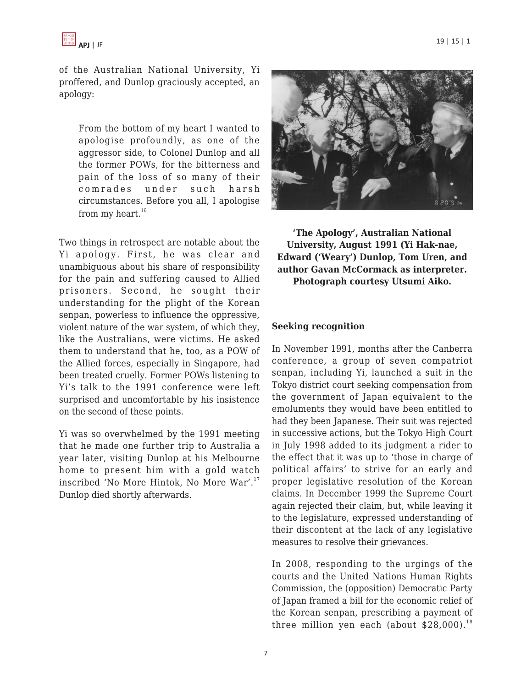of the Australian National University, Yi proffered, and Dunlop graciously accepted, an apology:

From the bottom of my heart I wanted to apologise profoundly, as one of the aggressor side, to Colonel Dunlop and all the former POWs, for the bitterness and pain of the loss of so many of their comrades under such harsh circumstances. Before you all, I apologise from my heart. $^{16}$ 

Two things in retrospect are notable about the Yi apology. First, he was clear and unambiguous about his share of responsibility for the pain and suffering caused to Allied prisoners. Second, he sought their understanding for the plight of the Korean senpan, powerless to influence the oppressive, violent nature of the war system, of which they, like the Australians, were victims. He asked them to understand that he, too, as a POW of the Allied forces, especially in Singapore, had been treated cruelly. Former POWs listening to Yi's talk to the 1991 conference were left surprised and uncomfortable by his insistence on the second of these points.

Yi was so overwhelmed by the 1991 meeting that he made one further trip to Australia a year later, visiting Dunlop at his Melbourne home to present him with a gold watch inscribed 'No More Hintok, No More War'.<sup>17</sup> Dunlop died shortly afterwards.



**'The Apology', Australian National University, August 1991 (Yi Hak-nae, Edward ('Weary') Dunlop, Tom Uren, and author Gavan McCormack as interpreter. Photograph courtesy Utsumi Aiko.**

#### **Seeking recognition**

In November 1991, months after the Canberra conference, a group of seven compatriot senpan, including Yi, launched a suit in the Tokyo district court seeking compensation from the government of Japan equivalent to the emoluments they would have been entitled to had they been Japanese. Their suit was rejected in successive actions, but the Tokyo High Court in July 1998 added to its judgment a rider to the effect that it was up to 'those in charge of political affairs' to strive for an early and proper legislative resolution of the Korean claims. In December 1999 the Supreme Court again rejected their claim, but, while leaving it to the legislature, expressed understanding of their discontent at the lack of any legislative measures to resolve their grievances.

In 2008, responding to the urgings of the courts and the United Nations Human Rights Commission, the (opposition) Democratic Party of Japan framed a bill for the economic relief of the Korean senpan, prescribing a payment of three million yen each (about  $$28,000$ ).<sup>18</sup>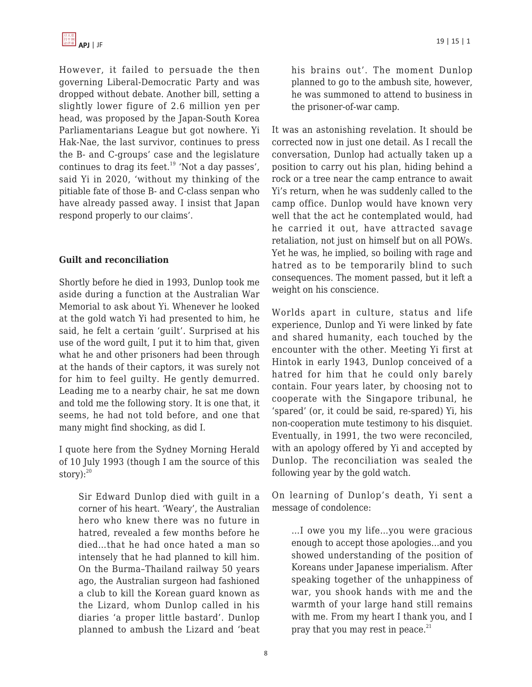

However, it failed to persuade the then governing Liberal-Democratic Party and was dropped without debate. Another bill, setting a slightly lower figure of 2.6 million yen per head, was proposed by the Japan-South Korea Parliamentarians League but got nowhere. Yi Hak-Nae, the last survivor, continues to press the B- and C-groups' case and the legislature continues to drag its feet.<sup>19</sup> 'Not a day passes', said Yi in 2020, 'without my thinking of the pitiable fate of those B- and C-class senpan who have already passed away. I insist that Japan respond properly to our claims'.

# **Guilt and reconciliation**

Shortly before he died in 1993, Dunlop took me aside during a function at the Australian War Memorial to ask about Yi. Whenever he looked at the gold watch Yi had presented to him, he said, he felt a certain 'guilt'. Surprised at his use of the word guilt, I put it to him that, given what he and other prisoners had been through at the hands of their captors, it was surely not for him to feel guilty. He gently demurred. Leading me to a nearby chair, he sat me down and told me the following story. It is one that, it seems, he had not told before, and one that many might find shocking, as did I.

I quote here from the Sydney Morning Herald of 10 July 1993 (though I am the source of this story): $20$ 

Sir Edward Dunlop died with guilt in a corner of his heart. 'Weary', the Australian hero who knew there was no future in hatred, revealed a few months before he died…that he had once hated a man so intensely that he had planned to kill him. On the Burma–Thailand railway 50 years ago, the Australian surgeon had fashioned a club to kill the Korean guard known as the Lizard, whom Dunlop called in his diaries 'a proper little bastard'. Dunlop planned to ambush the Lizard and 'beat his brains out'. The moment Dunlop planned to go to the ambush site, however, he was summoned to attend to business in the prisoner-of-war camp.

It was an astonishing revelation. It should be corrected now in just one detail. As I recall the conversation, Dunlop had actually taken up a position to carry out his plan, hiding behind a rock or a tree near the camp entrance to await Yi's return, when he was suddenly called to the camp office. Dunlop would have known very well that the act he contemplated would, had he carried it out, have attracted savage retaliation, not just on himself but on all POWs. Yet he was, he implied, so boiling with rage and hatred as to be temporarily blind to such consequences. The moment passed, but it left a weight on his conscience.

Worlds apart in culture, status and life experience, Dunlop and Yi were linked by fate and shared humanity, each touched by the encounter with the other. Meeting Yi first at Hintok in early 1943, Dunlop conceived of a hatred for him that he could only barely contain. Four years later, by choosing not to cooperate with the Singapore tribunal, he 'spared' (or, it could be said, re-spared) Yi, his non-cooperation mute testimony to his disquiet. Eventually, in 1991, the two were reconciled, with an apology offered by Yi and accepted by Dunlop. The reconciliation was sealed the following year by the gold watch.

On learning of Dunlop's death, Yi sent a message of condolence:

…I owe you my life…you were gracious enough to accept those apologies…and you showed understanding of the position of Koreans under Japanese imperialism. After speaking together of the unhappiness of war, you shook hands with me and the warmth of your large hand still remains with me. From my heart I thank you, and I pray that you may rest in peace. $21$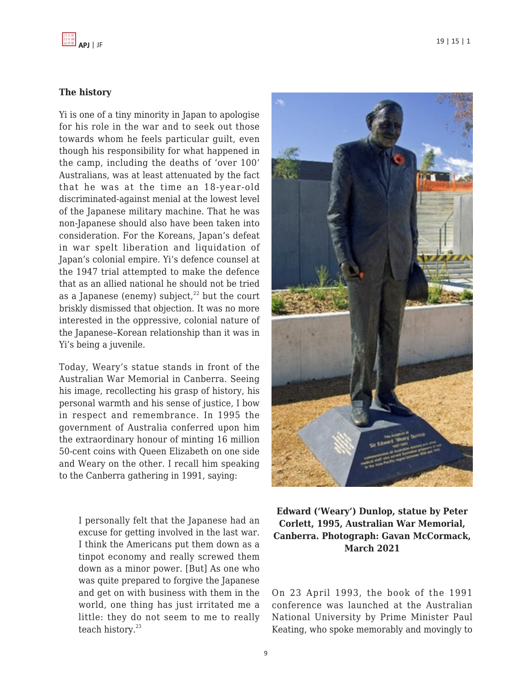# **The history**

Yi is one of a tiny minority in Japan to apologise for his role in the war and to seek out those towards whom he feels particular guilt, even though his responsibility for what happened in the camp, including the deaths of 'over 100' Australians, was at least attenuated by the fact that he was at the time an 18-year-old discriminated-against menial at the lowest level of the Japanese military machine. That he was non-Japanese should also have been taken into consideration. For the Koreans, Japan's defeat in war spelt liberation and liquidation of Japan's colonial empire. Yi's defence counsel at the 1947 trial attempted to make the defence that as an allied national he should not be tried as a Japanese (enemy) subject, $^{22}$  but the court briskly dismissed that objection. It was no more interested in the oppressive, colonial nature of the Japanese–Korean relationship than it was in Yi's being a juvenile.

Today, Weary's statue stands in front of the Australian War Memorial in Canberra. Seeing his image, recollecting his grasp of history, his personal warmth and his sense of justice, I bow in respect and remembrance. In 1995 the government of Australia conferred upon him the extraordinary honour of minting 16 million 50-cent coins with Queen Elizabeth on one side and Weary on the other. I recall him speaking to the Canberra gathering in 1991, saying:

I personally felt that the Japanese had an excuse for getting involved in the last war. I think the Americans put them down as a tinpot economy and really screwed them down as a minor power. [But] As one who was quite prepared to forgive the Japanese and get on with business with them in the world, one thing has just irritated me a little: they do not seem to me to really teach history.<sup>23</sup>



**Edward ('Weary') Dunlop, statue by Peter Corlett, 1995, Australian War Memorial, Canberra. Photograph: Gavan McCormack, March 2021**

On 23 April 1993, the book of the 1991 conference was launched at the Australian National University by Prime Minister Paul Keating, who spoke memorably and movingly to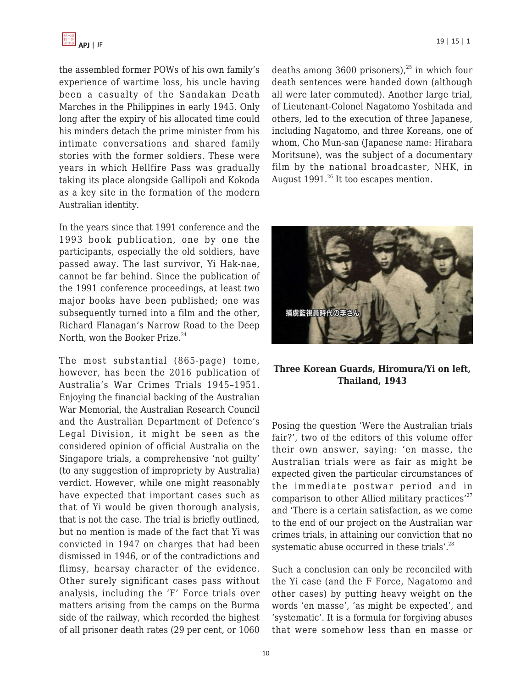the assembled former POWs of his own family's experience of wartime loss, his uncle having been a casualty of the Sandakan Death Marches in the Philippines in early 1945. Only long after the expiry of his allocated time could his minders detach the prime minister from his intimate conversations and shared family stories with the former soldiers. These were years in which Hellfire Pass was gradually taking its place alongside Gallipoli and Kokoda as a key site in the formation of the modern Australian identity.

In the years since that 1991 conference and the 1993 book publication, one by one the participants, especially the old soldiers, have passed away. The last survivor, Yi Hak-nae, cannot be far behind. Since the publication of the 1991 conference proceedings, at least two major books have been published; one was subsequently turned into a film and the other, Richard Flanagan's Narrow Road to the Deep North, won the Booker Prize. $24$ 

The most substantial (865-page) tome, however, has been the 2016 publication of Australia's War Crimes Trials 1945–1951. Enjoying the financial backing of the Australian War Memorial, the Australian Research Council and the Australian Department of Defence's Legal Division, it might be seen as the considered opinion of official Australia on the Singapore trials, a comprehensive 'not guilty' (to any suggestion of impropriety by Australia) verdict. However, while one might reasonably have expected that important cases such as that of Yi would be given thorough analysis, that is not the case. The trial is briefly outlined, but no mention is made of the fact that Yi was convicted in 1947 on charges that had been dismissed in 1946, or of the contradictions and flimsy, hearsay character of the evidence. Other surely significant cases pass without analysis, including the 'F' Force trials over matters arising from the camps on the Burma side of the railway, which recorded the highest of all prisoner death rates (29 per cent, or 1060

deaths among 3600 prisoners), $^{25}$  in which four death sentences were handed down (although all were later commuted). Another large trial, of Lieutenant-Colonel Nagatomo Yoshitada and others, led to the execution of three Japanese, including Nagatomo, and three Koreans, one of whom, Cho Mun-san (Japanese name: Hirahara Moritsune), was the subject of a documentary film by the national broadcaster, NHK, in August  $1991.<sup>26</sup>$  It too escapes mention.



**Three Korean Guards, Hiromura/Yi on left, Thailand, 1943**

Posing the question 'Were the Australian trials fair?', two of the editors of this volume offer their own answer, saying: 'en masse, the Australian trials were as fair as might be expected given the particular circumstances of the immediate postwar period and in comparison to other Allied military practices $^{27}$ and 'There is a certain satisfaction, as we come to the end of our project on the Australian war crimes trials, in attaining our conviction that no systematic abuse occurred in these trials'. $28$ 

Such a conclusion can only be reconciled with the Yi case (and the F Force, Nagatomo and other cases) by putting heavy weight on the words 'en masse', 'as might be expected', and 'systematic'. It is a formula for forgiving abuses that were somehow less than en masse or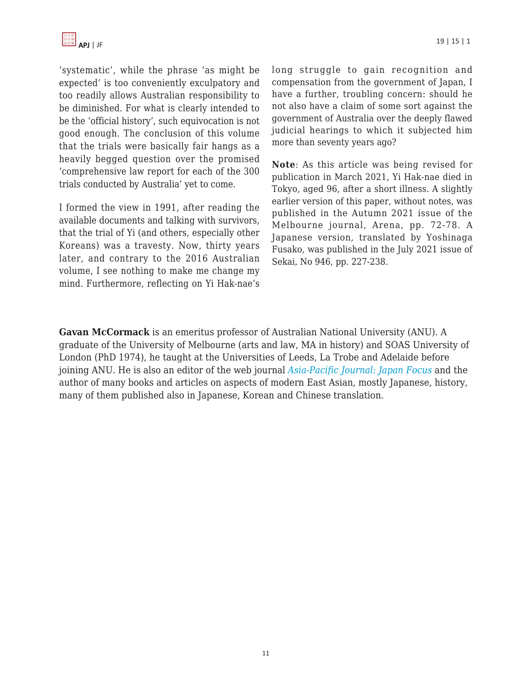'systematic', while the phrase 'as might be expected' is too conveniently exculpatory and too readily allows Australian responsibility to be diminished. For what is clearly intended to be the 'official history', such equivocation is not good enough. The conclusion of this volume that the trials were basically fair hangs as a heavily begged question over the promised 'comprehensive law report for each of the 300 trials conducted by Australia' yet to come.

I formed the view in 1991, after reading the available documents and talking with survivors, that the trial of Yi (and others, especially other Koreans) was a travesty. Now, thirty years later, and contrary to the 2016 Australian volume, I see nothing to make me change my mind. Furthermore, reflecting on Yi Hak-nae's long struggle to gain recognition and compensation from the government of Japan, I have a further, troubling concern: should he not also have a claim of some sort against the government of Australia over the deeply flawed judicial hearings to which it subjected him more than seventy years ago?

**Note**: As this article was being revised for publication in March 2021, Yi Hak-nae died in Tokyo, aged 96, after a short illness. A slightly earlier version of this paper, without notes, was published in the Autumn 2021 issue of the Melbourne journal, Arena, pp. 72-78. A Japanese version, translated by Yoshinaga Fusako, was published in the July 2021 issue of Sekai, No 946, pp. 227-238.

**Gavan McCormack** is an emeritus professor of Australian National University (ANU). A graduate of the University of Melbourne (arts and law, MA in history) and SOAS University of London (PhD 1974), he taught at the Universities of Leeds, La Trobe and Adelaide before joining ANU. He is also an editor of the web journal *[Asia-Pacific Journal: Japan Focus](https://apjjf.org/admin/staff_manage/details/apjjf.org)* and the author of many books and articles on aspects of modern East Asian, mostly Japanese, history, many of them published also in Japanese, Korean and Chinese translation.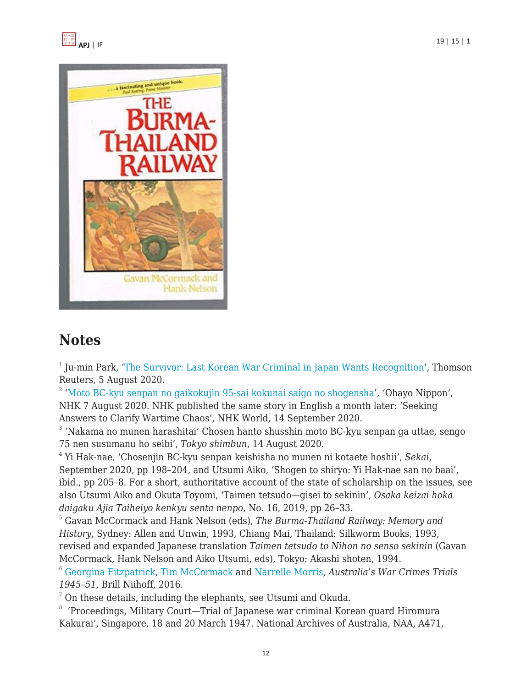



# **Notes**

<sup>1</sup> Ju-min Park, ['The Survivor: Last Korean War Criminal in Japan Wants Recognition](https://www.journalpioneer.com/news/world/the-survivor-last-korean-war-criminal-in-japan-wants-recognition-480917/)', Thomson Reuters, 5 August 2020.

<sup>2</sup> '[Moto BC-kyu senpan no gaikokujin 95-sai kokunai saigo no shogensha'](https://www.nhk.or.jp/ohayou/digest/2020/08/0807.html/), 'Ohayo Nippon',

NHK 7 August 2020. NHK published the same story in English a month later: 'Seeking Answers to Clarify Wartime Chaos', NHK World, 14 September 2020.

<sup>3</sup> 'Nakama no munen harashitai' Chosen hanto shusshin moto BC-kyu senpan ga uttae, sengo 75 nen susumanu ho seibi', *Tokyo shimbun*, 14 August 2020.

4 Yi Hak-nae, 'Chosenjin BC-kyu senpan keishisha no munen ni kotaete hoshii', *Sekai*, September 2020, pp 198–204, and Utsumi Aiko, 'Shogen to shiryo: Yi Hak-nae san no baai', ibid., pp 205–8. For a short, authoritative account of the state of scholarship on the issues, see also Utsumi Aiko and Okuta Toyomi, 'Taimen tetsudo—gisei to sekinin', *Osaka keizai hoka daigaku Ajia Taiheiyo kenkyu senta nenpo*, No. 16, 2019, pp 26–33.

<sup>5</sup> Gavan McCormack and Hank Nelson (eds), *The Burma-Thailand Railway: Memory and History*, Sydney: Allen and Unwin, 1993, Chiang Mai, Thailand: Silkworm Books, 1993, revised and expanded Japanese translation *Taimen tetsudo to Nihon no senso sekinin* (Gavan McCormack, Hank Nelson and Aiko Utsumi, eds), Tokyo: Akashi shoten, 1994.

<sup>6</sup> [Georgina Fitzpatrick,](http://booksandjournals.brillonline.com/search?value1=&option1=all&value2=Georgina+Fitzpatrick&option2=author) [Tim McCormack](http://booksandjournals.brillonline.com/search?value1=&option1=all&value2=Tim+McCormack&option2=author) and [Narrelle Morris](http://booksandjournals.brillonline.com/search?value1=&option1=all&value2=Narrelle+Morris&option2=author)*, Australia's War Crimes Trials 1945–51*, Brill Niihoff, 2016.

 $<sup>7</sup>$  On these details, including the elephants, see Utsumi and Okuda.</sup>

<sup>8</sup> 'Proceedings, Military Court—Trial of Japanese war criminal Korean guard Hiromura Kakurai', Singapore, 18 and 20 March 1947. National Archives of Australia, NAA, A471,